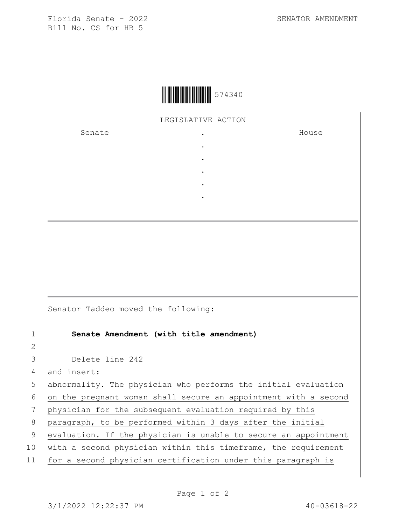Florida Senate - 2022 Bill No. CS for HB 5

LEGISLATIVE ACTION

 $\ddot{\phantom{a}}$  $\ddot{\phantom{a}}$  $\ddot{\phantom{a}}$  $\bullet$  $\ddot{\phantom{a}}$  $\overline{a}$ 

Senate

House

|                | Senator Taddeo moved the following:                             |
|----------------|-----------------------------------------------------------------|
| 1              | Senate Amendment (with title amendment)                         |
| $\overline{2}$ |                                                                 |
| 3              | Delete line 242                                                 |
| 4              | and insert:                                                     |
| 5              | abnormality. The physician who performs the initial evaluation  |
| 6              | on the pregnant woman shall secure an appointment with a second |
| 7              | physician for the subsequent evaluation required by this        |
| 8              | paragraph, to be performed within 3 days after the initial      |
| 9              | evaluation. If the physician is unable to secure an appointment |
| 10             | with a second physician within this timeframe, the requirement  |
|                |                                                                 |

for a second physician certification under this paragraph is  $11$